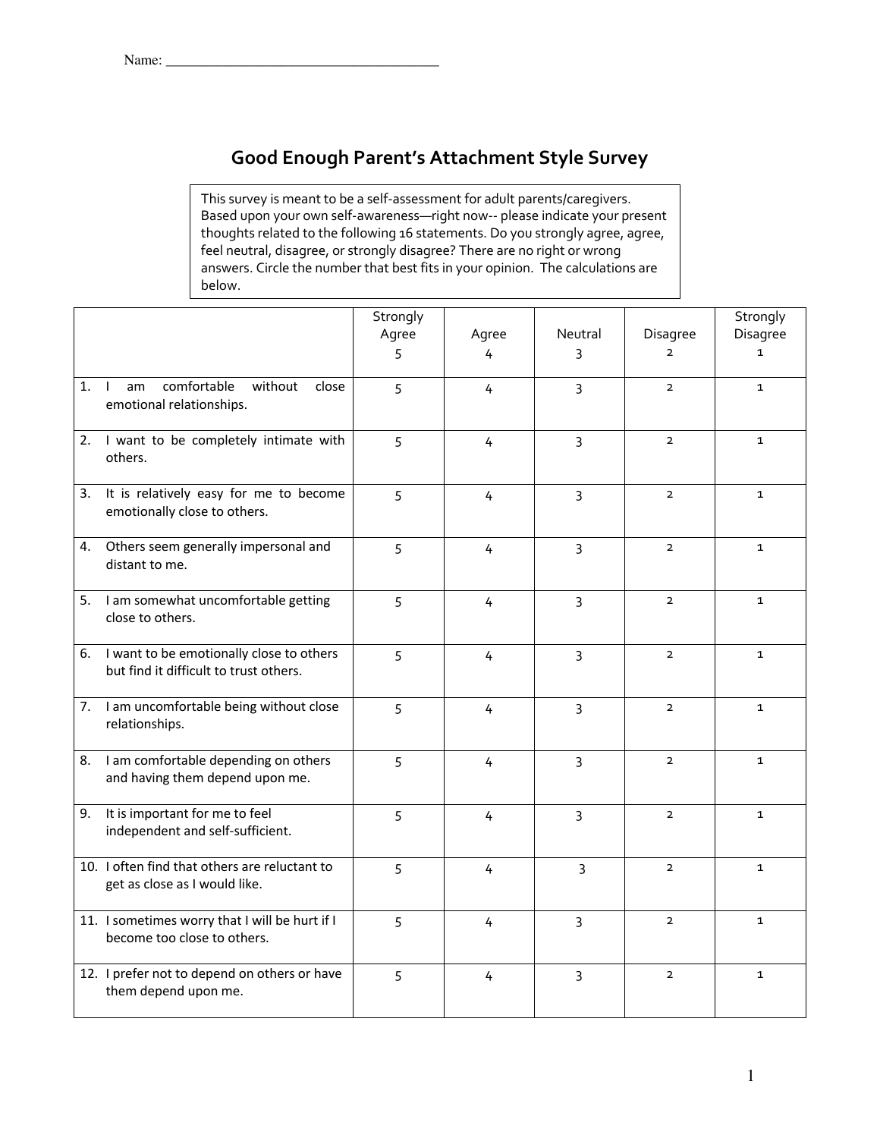## **Good Enough Parent's Attachment Style Survey**

This survey is meant to be a self-assessment for adult parents/caregivers. Based upon your own self-awareness—right now-- please indicate your present thoughts related to the following 16 statements. Do you strongly agree, agree, feel neutral, disagree, or strongly disagree? There are no right or wrong answers. Circle the number that best fits in your opinion. The calculations are below.

|    |                                                                                       | Strongly |                |                |                | Strongly     |
|----|---------------------------------------------------------------------------------------|----------|----------------|----------------|----------------|--------------|
|    |                                                                                       | Agree    | Agree          | Neutral        | Disagree       | Disagree     |
|    |                                                                                       | 5        | 4              | 3              | $\overline{2}$ | $\mathbf{1}$ |
| 1. | comfortable<br>without<br>$\perp$<br>am<br>close<br>emotional relationships.          | 5        | 4              | $\overline{3}$ | $\mathbf{2}$   | $\mathbf{1}$ |
|    | 2. I want to be completely intimate with<br>others.                                   | 5        | 4              | 3              | $\overline{2}$ | $\mathbf{1}$ |
| 3. | It is relatively easy for me to become<br>emotionally close to others.                | 5        | 4              | $\overline{3}$ | $\overline{2}$ | $\mathbf{1}$ |
|    | 4. Others seem generally impersonal and<br>distant to me.                             | 5        | 4              | 3              | $\overline{2}$ | $\mathbf{1}$ |
|    | 5. I am somewhat uncomfortable getting<br>close to others.                            | 5        | 4              | 3              | $\overline{2}$ | $\mathbf{1}$ |
|    | 6. I want to be emotionally close to others<br>but find it difficult to trust others. | 5        | 4              | $\overline{3}$ | $\overline{2}$ | $\mathbf{1}$ |
|    | 7. I am uncomfortable being without close<br>relationships.                           | 5        | 4              | $\overline{3}$ | $\overline{2}$ | $\mathbf{1}$ |
| 8. | I am comfortable depending on others<br>and having them depend upon me.               | 5        | 4              | $\overline{3}$ | $\overline{2}$ | $\mathbf{1}$ |
|    | 9. It is important for me to feel<br>independent and self-sufficient.                 | 5        | 4              | 3              | $\overline{2}$ | $\mathbf{1}$ |
|    | 10. I often find that others are reluctant to<br>get as close as I would like.        | 5        | $\overline{4}$ | 3              | $\overline{2}$ | $\mathbf{1}$ |
|    | 11. I sometimes worry that I will be hurt if I<br>become too close to others.         | 5        | 4              | 3              | $\overline{2}$ | $\mathbf{1}$ |
|    | 12. I prefer not to depend on others or have<br>them depend upon me.                  | 5        | 4              | $\overline{3}$ | $\overline{2}$ | $\mathbf{1}$ |